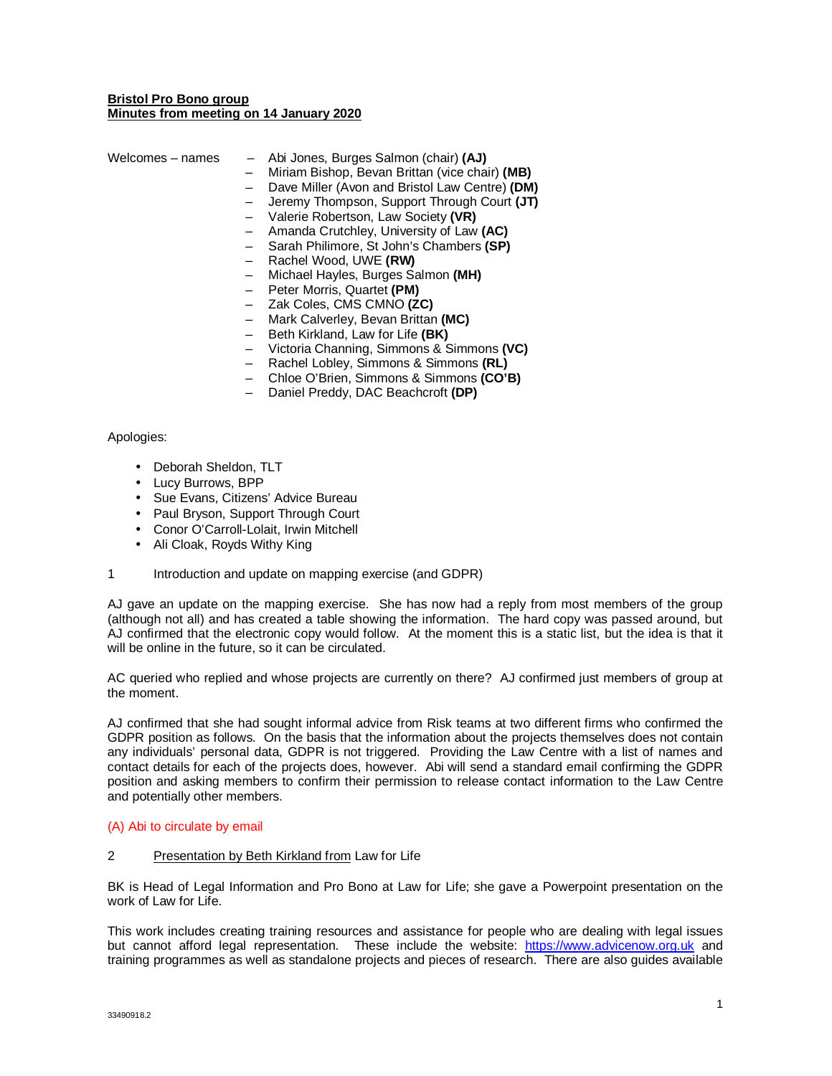## **Bristol Pro Bono group Minutes from meeting on 14 January 2020**

| Welcomes - names | Abi Jones, Burges Salmon (chair) (AJ)          |
|------------------|------------------------------------------------|
|                  | Miriam Bishop, Bevan Brittan (vice chair) (MB) |
|                  | Dave Miller (Avon and Bristol Law Centre) (DM) |
|                  | Jeremy Thompson, Support Through Court (JT)    |
|                  | Valerie Robertson, Law Society (VR)            |
|                  | Amanda Crutchley, University of Law (AC)       |
|                  | Sarah Philimore, St John's Chambers (SP)       |
|                  | Rachel Wood, UWE (RW)                          |
|                  | Michael Hayles, Burges Salmon (MH)             |
|                  | Peter Morris, Quartet (PM)                     |
|                  | Zak Coles, CMS CMNO (ZC)                       |
|                  | Mark Calverley, Bevan Brittan (MC)             |
|                  | Beth Kirkland, Law for Life (BK)               |
|                  | Victoria Channing, Simmons & Simmons (VC)      |
|                  | Rachel Lobley, Simmons & Simmons (RL)          |
|                  | Chloe O'Brien, Simmons & Simmons (CO'B)        |
|                  |                                                |

– Daniel Preddy, DAC Beachcroft **(DP)**

### Apologies:

- Deborah Sheldon, TLT
- Lucy Burrows, BPP
- Sue Evans, Citizens' Advice Bureau
- Paul Bryson, Support Through Court
- Conor O'Carroll-Lolait, Irwin Mitchell
- Ali Cloak, Royds Withy King
- 1 Introduction and update on mapping exercise (and GDPR)

AJ gave an update on the mapping exercise. She has now had a reply from most members of the group (although not all) and has created a table showing the information. The hard copy was passed around, but AJ confirmed that the electronic copy would follow. At the moment this is a static list, but the idea is that it will be online in the future, so it can be circulated.

AC queried who replied and whose projects are currently on there? AJ confirmed just members of group at the moment.

AJ confirmed that she had sought informal advice from Risk teams at two different firms who confirmed the GDPR position as follows. On the basis that the information about the projects themselves does not contain any individuals' personal data, GDPR is not triggered. Providing the Law Centre with a list of names and contact details for each of the projects does, however. Abi will send a standard email confirming the GDPR position and asking members to confirm their permission to release contact information to the Law Centre and potentially other members.

### (A) Abi to circulate by email

### 2 Presentation by Beth Kirkland from Law for Life

BK is Head of Legal Information and Pro Bono at Law for Life; she gave a Powerpoint presentation on the work of Law for Life.

This work includes creating training resources and assistance for people who are dealing with legal issues but cannot afford legal representation. These include the website: https://www.advicenow.org.uk and training programmes as well as standalone projects and pieces of research. There are also guides available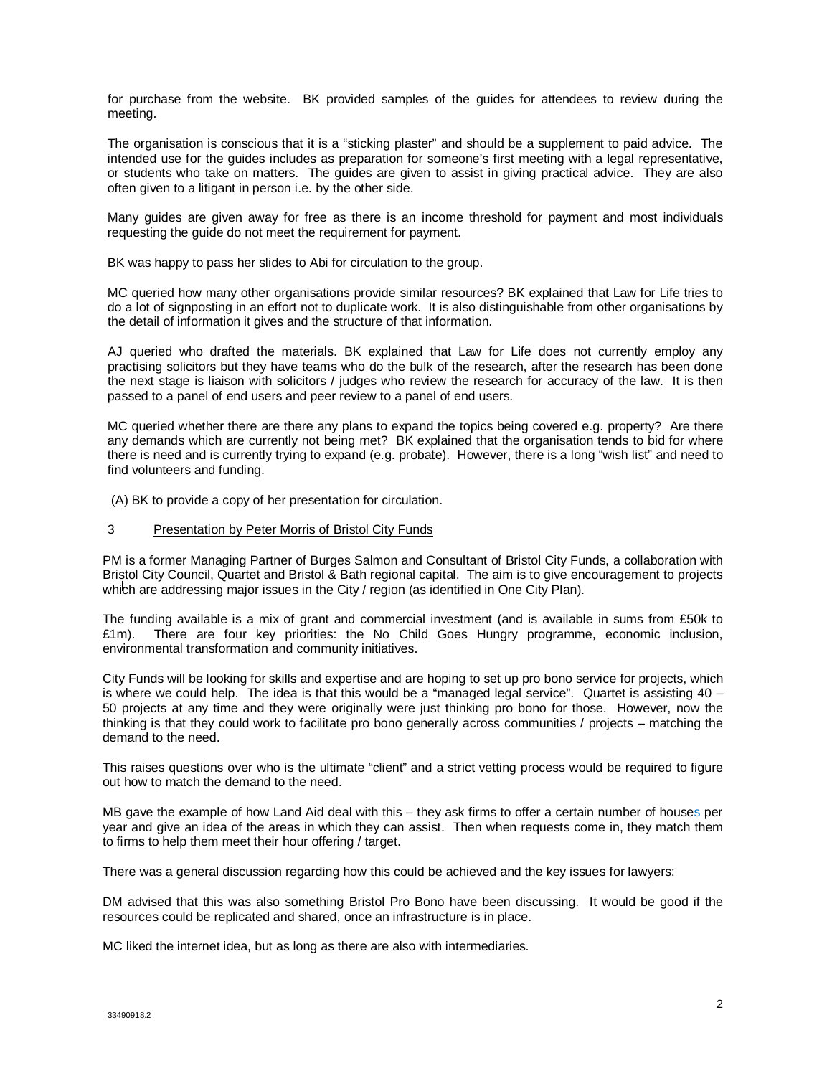for purchase from the website. BK provided samples of the guides for attendees to review during the meeting.

The organisation is conscious that it is a "sticking plaster" and should be a supplement to paid advice. The intended use for the guides includes as preparation for someone's first meeting with a legal representative, or students who take on matters. The guides are given to assist in giving practical advice. They are also often given to a litigant in person i.e. by the other side.

Many guides are given away for free as there is an income threshold for payment and most individuals requesting the guide do not meet the requirement for payment.

BK was happy to pass her slides to Abi for circulation to the group.

MC queried how many other organisations provide similar resources? BK explained that Law for Life tries to do a lot of signposting in an effort not to duplicate work. It is also distinguishable from other organisations by the detail of information it gives and the structure of that information.

AJ queried who drafted the materials. BK explained that Law for Life does not currently employ any practising solicitors but they have teams who do the bulk of the research, after the research has been done the next stage is liaison with solicitors / judges who review the research for accuracy of the law. It is then passed to a panel of end users and peer review to a panel of end users.

MC queried whether there are there any plans to expand the topics being covered e.g. property? Are there any demands which are currently not being met? BK explained that the organisation tends to bid for where there is need and is currently trying to expand (e.g. probate). However, there is a long "wish list" and need to find volunteers and funding.

(A) BK to provide a copy of her presentation for circulation.

# 3 Presentation by Peter Morris of Bristol City Funds

PM is a former Managing Partner of Burges Salmon and Consultant of Bristol City Funds, a collaboration with Bristol City Council, Quartet and Bristol & Bath regional capital. The aim is to give encouragement to projects which are addressing major issues in the City / region (as identified in One City Plan).

The funding available is a mix of grant and commercial investment (and is available in sums from £50k to £1m). There are four key priorities: the No Child Goes Hungry programme, economic inclusion, environmental transformation and community initiatives.

City Funds will be looking for skills and expertise and are hoping to set up pro bono service for projects, which is where we could help. The idea is that this would be a "managed legal service". Quartet is assisting  $40 -$ 50 projects at any time and they were originally were just thinking pro bono for those. However, now the thinking is that they could work to facilitate pro bono generally across communities / projects – matching the demand to the need.

This raises questions over who is the ultimate "client" and a strict vetting process would be required to figure out how to match the demand to the need.

MB gave the example of how Land Aid deal with this – they ask firms to offer a certain number of houses per year and give an idea of the areas in which they can assist. Then when requests come in, they match them to firms to help them meet their hour offering / target.

There was a general discussion regarding how this could be achieved and the key issues for lawyers:

DM advised that this was also something Bristol Pro Bono have been discussing. It would be good if the resources could be replicated and shared, once an infrastructure is in place.

MC liked the internet idea, but as long as there are also with intermediaries.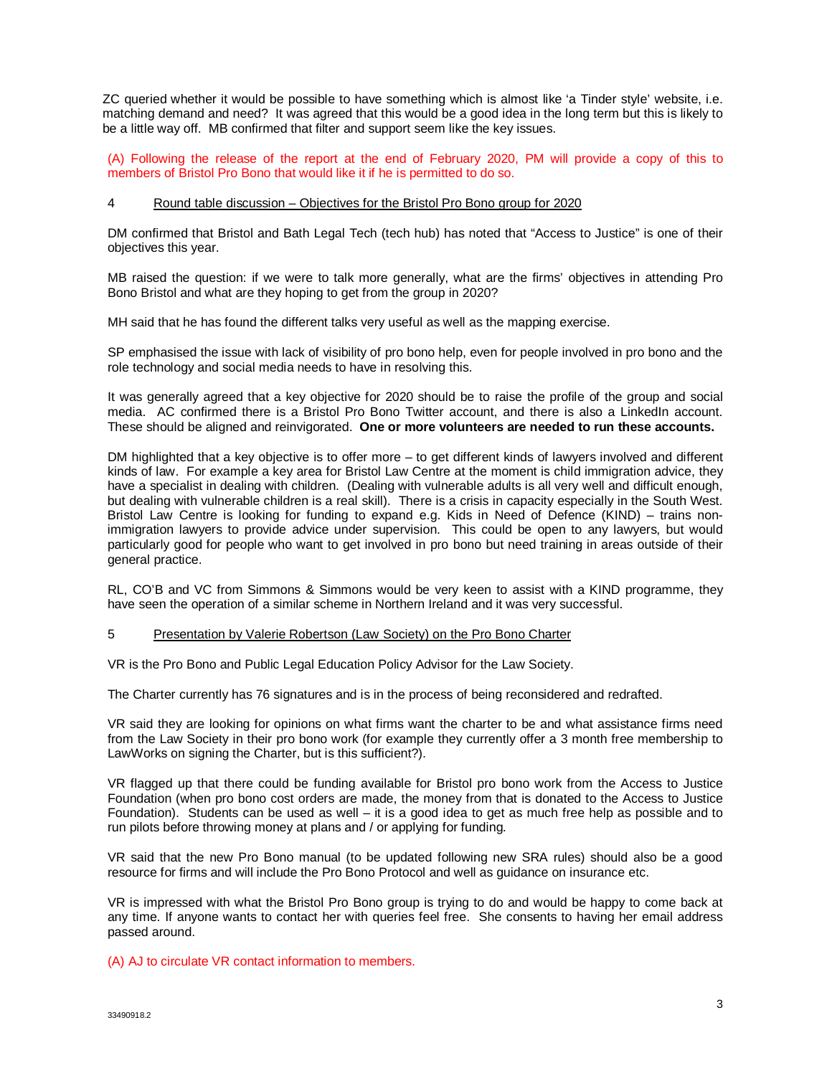ZC queried whether it would be possible to have something which is almost like 'a Tinder style' website, i.e. matching demand and need? It was agreed that this would be a good idea in the long term but this is likely to be a little way off. MB confirmed that filter and support seem like the key issues.

(A) Following the release of the report at the end of February 2020, PM will provide a copy of this to members of Bristol Pro Bono that would like it if he is permitted to do so.

### 4 Round table discussion – Objectives for the Bristol Pro Bono group for 2020

DM confirmed that Bristol and Bath Legal Tech (tech hub) has noted that "Access to Justice" is one of their objectives this year.

MB raised the question: if we were to talk more generally, what are the firms' objectives in attending Pro Bono Bristol and what are they hoping to get from the group in 2020?

MH said that he has found the different talks very useful as well as the mapping exercise.

SP emphasised the issue with lack of visibility of pro bono help, even for people involved in pro bono and the role technology and social media needs to have in resolving this.

It was generally agreed that a key objective for 2020 should be to raise the profile of the group and social media. AC confirmed there is a Bristol Pro Bono Twitter account, and there is also a LinkedIn account. These should be aligned and reinvigorated. **One or more volunteers are needed to run these accounts.**

DM highlighted that a key objective is to offer more – to get different kinds of lawyers involved and different kinds of law. For example a key area for Bristol Law Centre at the moment is child immigration advice, they have a specialist in dealing with children. (Dealing with vulnerable adults is all very well and difficult enough, but dealing with vulnerable children is a real skill). There is a crisis in capacity especially in the South West. Bristol Law Centre is looking for funding to expand e.g. Kids in Need of Defence (KIND) – trains nonimmigration lawyers to provide advice under supervision. This could be open to any lawyers, but would particularly good for people who want to get involved in pro bono but need training in areas outside of their general practice.

RL, CO'B and VC from Simmons & Simmons would be very keen to assist with a KIND programme, they have seen the operation of a similar scheme in Northern Ireland and it was very successful.

#### 5 Presentation by Valerie Robertson (Law Society) on the Pro Bono Charter

VR is the Pro Bono and Public Legal Education Policy Advisor for the Law Society.

The Charter currently has 76 signatures and is in the process of being reconsidered and redrafted.

VR said they are looking for opinions on what firms want the charter to be and what assistance firms need from the Law Society in their pro bono work (for example they currently offer a 3 month free membership to LawWorks on signing the Charter, but is this sufficient?).

VR flagged up that there could be funding available for Bristol pro bono work from the Access to Justice Foundation (when pro bono cost orders are made, the money from that is donated to the Access to Justice Foundation). Students can be used as well – it is a good idea to get as much free help as possible and to run pilots before throwing money at plans and / or applying for funding.

VR said that the new Pro Bono manual (to be updated following new SRA rules) should also be a good resource for firms and will include the Pro Bono Protocol and well as guidance on insurance etc.

VR is impressed with what the Bristol Pro Bono group is trying to do and would be happy to come back at any time. If anyone wants to contact her with queries feel free. She consents to having her email address passed around.

(A) AJ to circulate VR contact information to members.